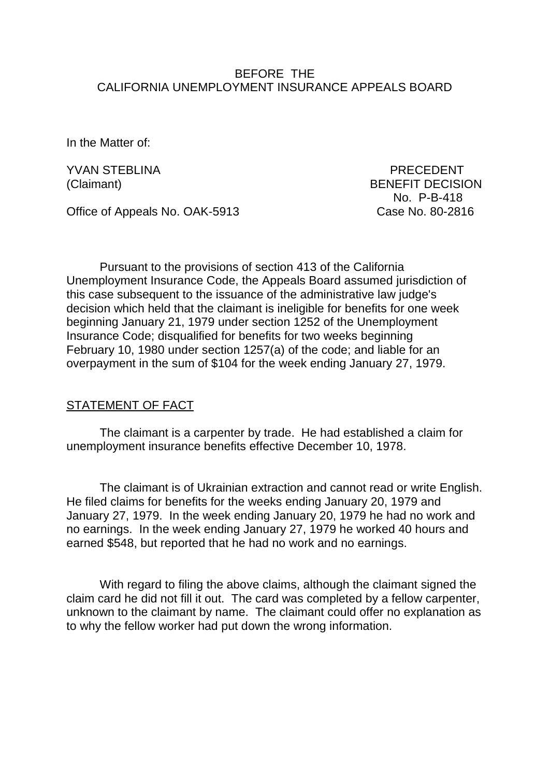### BEFORE THE CALIFORNIA UNEMPLOYMENT INSURANCE APPEALS BOARD

In the Matter of:

YVAN STEBLINA PRECEDENT (Claimant) BENEFIT DECISION No. P-B-418

Office of Appeals No. OAK-5913 Case No. 80-2816

Pursuant to the provisions of section 413 of the California Unemployment Insurance Code, the Appeals Board assumed jurisdiction of this case subsequent to the issuance of the administrative law judge's decision which held that the claimant is ineligible for benefits for one week beginning January 21, 1979 under section 1252 of the Unemployment Insurance Code; disqualified for benefits for two weeks beginning February 10, 1980 under section 1257(a) of the code; and liable for an overpayment in the sum of \$104 for the week ending January 27, 1979.

#### STATEMENT OF FACT

The claimant is a carpenter by trade. He had established a claim for unemployment insurance benefits effective December 10, 1978.

The claimant is of Ukrainian extraction and cannot read or write English. He filed claims for benefits for the weeks ending January 20, 1979 and January 27, 1979. In the week ending January 20, 1979 he had no work and no earnings. In the week ending January 27, 1979 he worked 40 hours and earned \$548, but reported that he had no work and no earnings.

With regard to filing the above claims, although the claimant signed the claim card he did not fill it out. The card was completed by a fellow carpenter, unknown to the claimant by name. The claimant could offer no explanation as to why the fellow worker had put down the wrong information.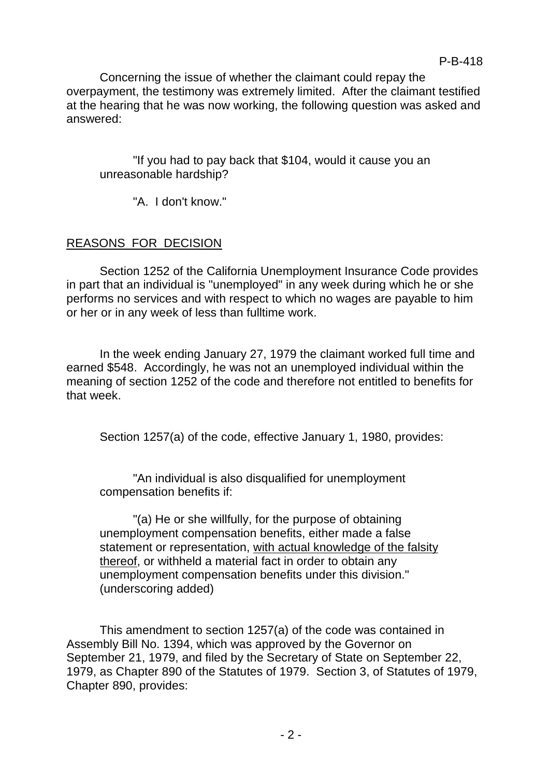Concerning the issue of whether the claimant could repay the overpayment, the testimony was extremely limited. After the claimant testified at the hearing that he was now working, the following question was asked and answered:

"If you had to pay back that \$104, would it cause you an unreasonable hardship?

"A. I don't know."

# REASONS FOR DECISION

Section 1252 of the California Unemployment Insurance Code provides in part that an individual is "unemployed" in any week during which he or she performs no services and with respect to which no wages are payable to him or her or in any week of less than fulltime work.

In the week ending January 27, 1979 the claimant worked full time and earned \$548. Accordingly, he was not an unemployed individual within the meaning of section 1252 of the code and therefore not entitled to benefits for that week.

Section 1257(a) of the code, effective January 1, 1980, provides:

"An individual is also disqualified for unemployment compensation benefits if:

"(a) He or she willfully, for the purpose of obtaining unemployment compensation benefits, either made a false statement or representation, with actual knowledge of the falsity thereof, or withheld a material fact in order to obtain any unemployment compensation benefits under this division." (underscoring added)

This amendment to section 1257(a) of the code was contained in Assembly Bill No. 1394, which was approved by the Governor on September 21, 1979, and filed by the Secretary of State on September 22, 1979, as Chapter 890 of the Statutes of 1979. Section 3, of Statutes of 1979, Chapter 890, provides: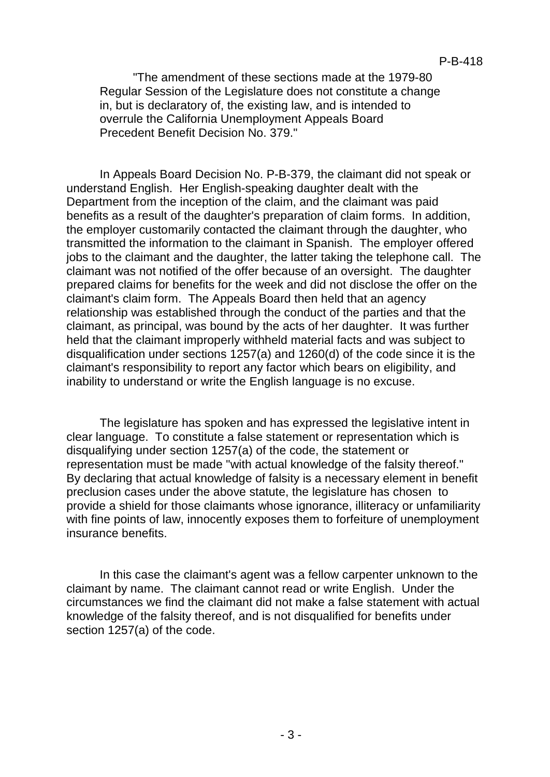"The amendment of these sections made at the 1979-80 Regular Session of the Legislature does not constitute a change in, but is declaratory of, the existing law, and is intended to overrule the California Unemployment Appeals Board Precedent Benefit Decision No. 379."

In Appeals Board Decision No. P-B-379, the claimant did not speak or understand English. Her English-speaking daughter dealt with the Department from the inception of the claim, and the claimant was paid benefits as a result of the daughter's preparation of claim forms. In addition, the employer customarily contacted the claimant through the daughter, who transmitted the information to the claimant in Spanish. The employer offered jobs to the claimant and the daughter, the latter taking the telephone call. The claimant was not notified of the offer because of an oversight. The daughter prepared claims for benefits for the week and did not disclose the offer on the claimant's claim form. The Appeals Board then held that an agency relationship was established through the conduct of the parties and that the claimant, as principal, was bound by the acts of her daughter. It was further held that the claimant improperly withheld material facts and was subject to disqualification under sections 1257(a) and 1260(d) of the code since it is the claimant's responsibility to report any factor which bears on eligibility, and inability to understand or write the English language is no excuse.

The legislature has spoken and has expressed the legislative intent in clear language. To constitute a false statement or representation which is disqualifying under section 1257(a) of the code, the statement or representation must be made "with actual knowledge of the falsity thereof." By declaring that actual knowledge of falsity is a necessary element in benefit preclusion cases under the above statute, the legislature has chosen to provide a shield for those claimants whose ignorance, illiteracy or unfamiliarity with fine points of law, innocently exposes them to forfeiture of unemployment insurance benefits.

In this case the claimant's agent was a fellow carpenter unknown to the claimant by name. The claimant cannot read or write English. Under the circumstances we find the claimant did not make a false statement with actual knowledge of the falsity thereof, and is not disqualified for benefits under section 1257(a) of the code.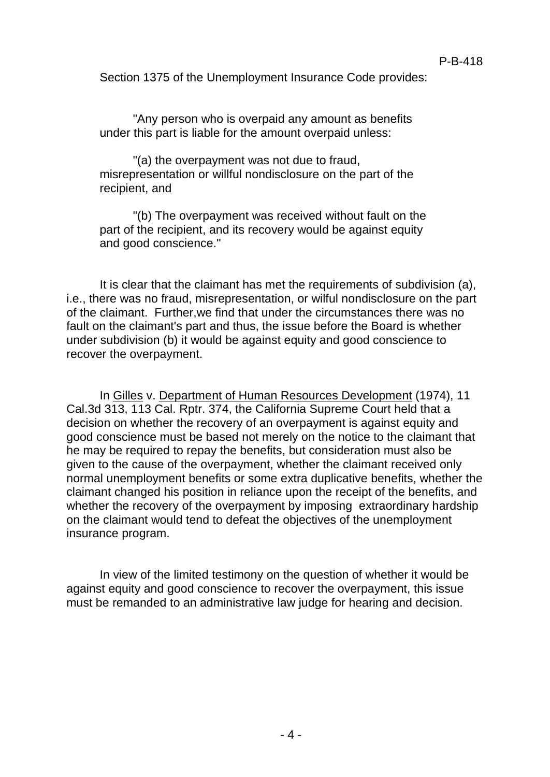Section 1375 of the Unemployment Insurance Code provides:

"Any person who is overpaid any amount as benefits under this part is liable for the amount overpaid unless:

"(a) the overpayment was not due to fraud, misrepresentation or willful nondisclosure on the part of the recipient, and

"(b) The overpayment was received without fault on the part of the recipient, and its recovery would be against equity and good conscience."

It is clear that the claimant has met the requirements of subdivision (a), i.e., there was no fraud, misrepresentation, or wilful nondisclosure on the part of the claimant. Further,we find that under the circumstances there was no fault on the claimant's part and thus, the issue before the Board is whether under subdivision (b) it would be against equity and good conscience to recover the overpayment.

In Gilles v. Department of Human Resources Development (1974), 11 Cal.3d 313, 113 Cal. Rptr. 374, the California Supreme Court held that a decision on whether the recovery of an overpayment is against equity and good conscience must be based not merely on the notice to the claimant that he may be required to repay the benefits, but consideration must also be given to the cause of the overpayment, whether the claimant received only normal unemployment benefits or some extra duplicative benefits, whether the claimant changed his position in reliance upon the receipt of the benefits, and whether the recovery of the overpayment by imposing extraordinary hardship on the claimant would tend to defeat the objectives of the unemployment insurance program.

In view of the limited testimony on the question of whether it would be against equity and good conscience to recover the overpayment, this issue must be remanded to an administrative law judge for hearing and decision.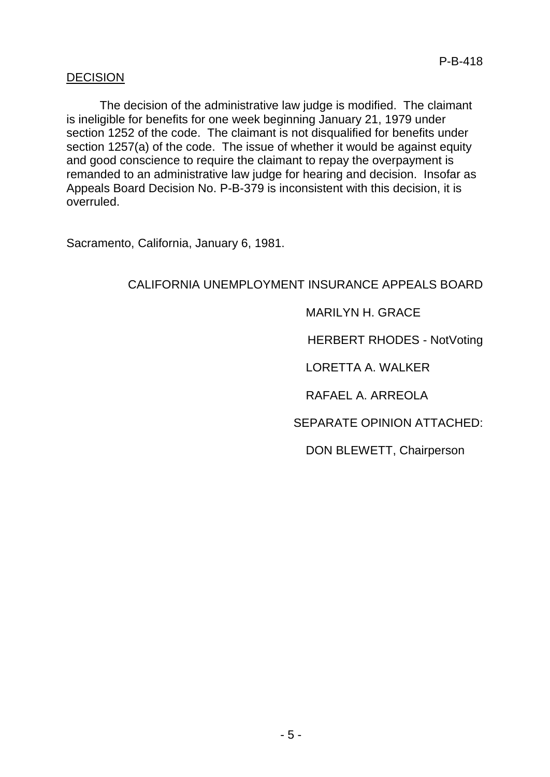### DECISION

The decision of the administrative law judge is modified. The claimant is ineligible for benefits for one week beginning January 21, 1979 under section 1252 of the code. The claimant is not disqualified for benefits under section 1257(a) of the code. The issue of whether it would be against equity and good conscience to require the claimant to repay the overpayment is remanded to an administrative law judge for hearing and decision. Insofar as Appeals Board Decision No. P-B-379 is inconsistent with this decision, it is overruled.

Sacramento, California, January 6, 1981.

# CALIFORNIA UNEMPLOYMENT INSURANCE APPEALS BOARD

### MARILYN H. GRACE

HERBERT RHODES - NotVoting

LORETTA A. WALKER

RAFAEL A. ARREOLA

SEPARATE OPINION ATTACHED:

DON BLEWETT, Chairperson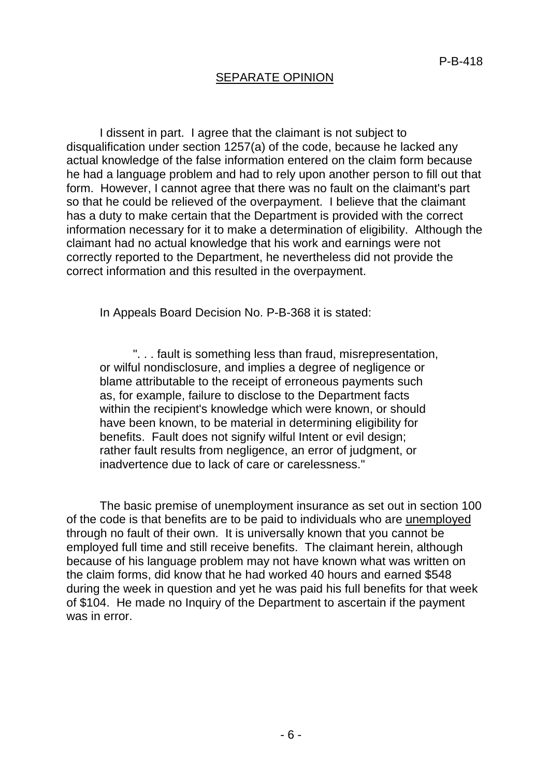### SEPARATE OPINION

I dissent in part. I agree that the claimant is not subject to disqualification under section 1257(a) of the code, because he lacked any actual knowledge of the false information entered on the claim form because he had a language problem and had to rely upon another person to fill out that form. However, I cannot agree that there was no fault on the claimant's part so that he could be relieved of the overpayment. I believe that the claimant has a duty to make certain that the Department is provided with the correct information necessary for it to make a determination of eligibility. Although the claimant had no actual knowledge that his work and earnings were not correctly reported to the Department, he nevertheless did not provide the correct information and this resulted in the overpayment.

In Appeals Board Decision No. P-B-368 it is stated:

". . . fault is something less than fraud, misrepresentation, or wilful nondisclosure, and implies a degree of negligence or blame attributable to the receipt of erroneous payments such as, for example, failure to disclose to the Department facts within the recipient's knowledge which were known, or should have been known, to be material in determining eligibility for benefits. Fault does not signify wilful Intent or evil design; rather fault results from negligence, an error of judgment, or inadvertence due to lack of care or carelessness."

The basic premise of unemployment insurance as set out in section 100 of the code is that benefits are to be paid to individuals who are unemployed through no fault of their own. It is universally known that you cannot be employed full time and still receive benefits. The claimant herein, although because of his language problem may not have known what was written on the claim forms, did know that he had worked 40 hours and earned \$548 during the week in question and yet he was paid his full benefits for that week of \$104. He made no Inquiry of the Department to ascertain if the payment was in error.